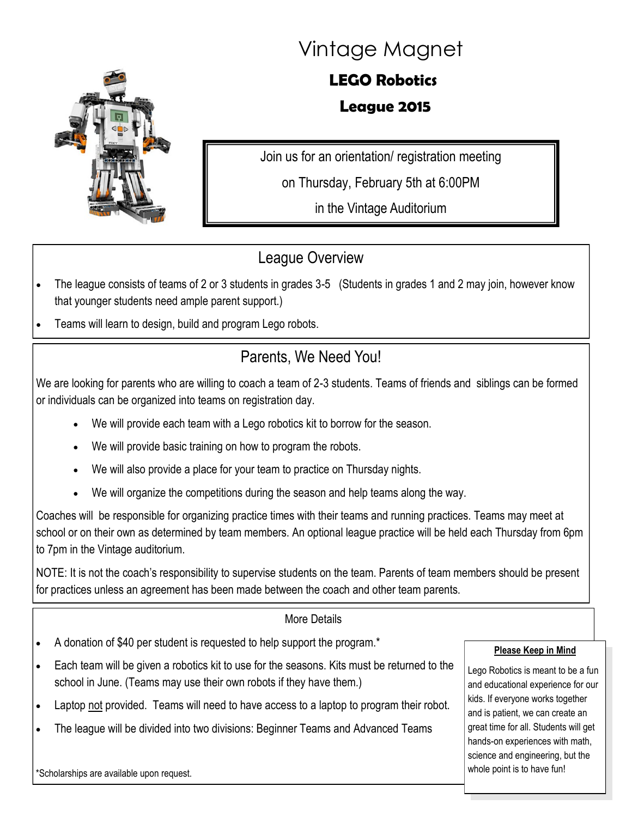

# Vintage Magnet

# **LEGO Robotics**

#### **League 2015**

Join us for an orientation/ registration meeting on Thursday, February 5th at 6:00PM

in the Vintage Auditorium

### League Overview

- The league consists of teams of 2 or 3 students in grades 3-5 (Students in grades 1 and 2 may join, however know that younger students need ample parent support.)
- Teams will learn to design, build and program Lego robots.

## Parents, We Need You!

We are looking for parents who are willing to coach a team of 2-3 students. Teams of friends and siblings can be formed or individuals can be organized into teams on registration day.

- We will provide each team with a Lego robotics kit to borrow for the season.
- We will provide basic training on how to program the robots.
- We will also provide a place for your team to practice on Thursday nights.
- We will organize the competitions during the season and help teams along the way.

Coaches will be responsible for organizing practice times with their teams and running practices. Teams may meet at school or on their own as determined by team members. An optional league practice will be held each Thursday from 6pm to 7pm in the Vintage auditorium.

NOTE: It is not the coach's responsibility to supervise students on the team. Parents of team members should be present for practices unless an agreement has been made between the coach and other team parents.

#### More Details

- A donation of \$40 per student is requested to help support the program.\*
- Each team will be given a robotics kit to use for the seasons. Kits must be returned to the school in June. (Teams may use their own robots if they have them.)
- Laptop not provided. Teams will need to have access to a laptop to program their robot.
- The league will be divided into two divisions: Beginner Teams and Advanced Teams

#### **Please Keep in Mind**

Lego Robotics is meant to be a fun and educational experience for our kids. If everyone works together and is patient, we can create an great time for all. Students will get hands-on experiences with math, science and engineering, but the whole point is to have fun!

\*Scholarships are available upon request.